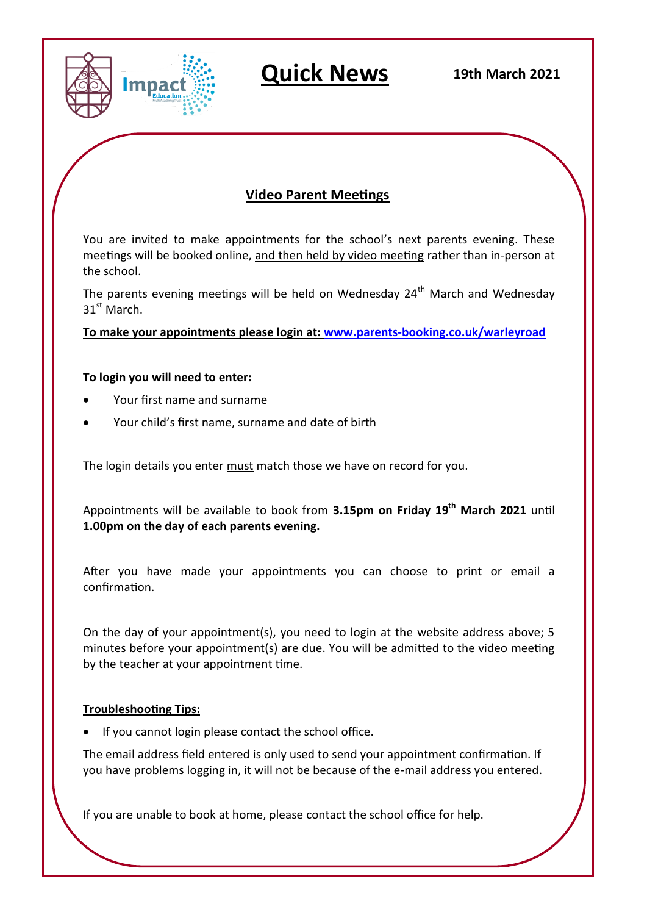

# **Quick News**

**19th March 2021**

## **Video Parent Meetings**

You are invited to make appointments for the school's next parents evening. These meetings will be booked online, and then held by video meeting rather than in-person at the school.

The parents evening meetings will be held on Wednesday  $24<sup>th</sup>$  March and Wednesday 31<sup>st</sup> March.

**To make your appointments please login at: www.parents-booking.co.uk/warleyroad**

#### **To login you will need to enter:**

- Your first name and surname
- Your child's first name, surname and date of birth

The login details you enter must match those we have on record for you.

Appointments will be available to book from **3.15pm on Friday 19th March 2021** until **1.00pm on the day of each parents evening.**

After you have made your appointments you can choose to print or email a confirmation.

On the day of your appointment(s), you need to login at the website address above; 5 minutes before your appointment(s) are due. You will be admitted to the video meeting by the teacher at your appointment time.

#### **Troubleshooting Tips:**

• If you cannot login please contact the school office.

The email address field entered is only used to send your appointment confirmation. If you have problems logging in, it will not be because of the e-mail address you entered.

If you are unable to book at home, please contact the school office for help.